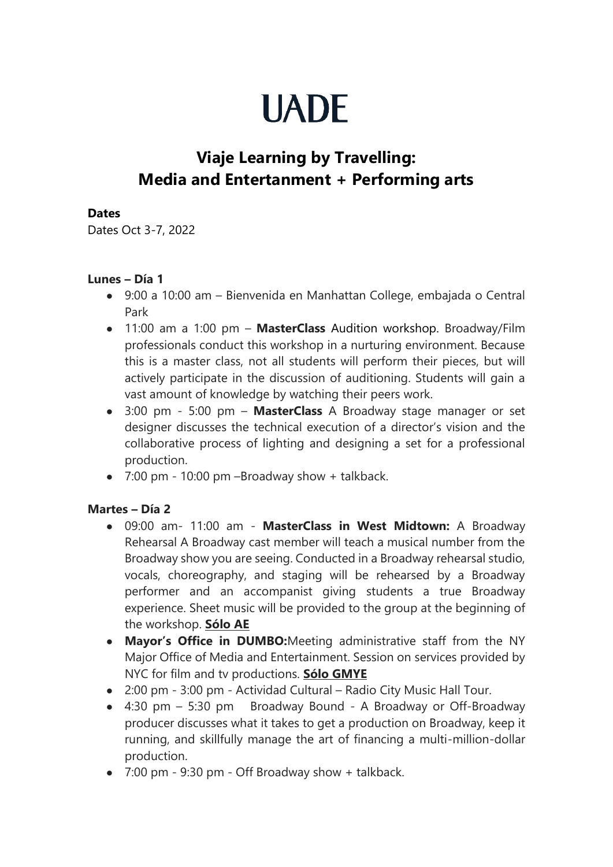# **UADE**

# **Viaje Learning by Travelling: Media and Entertanment + Performing arts**

### **Dates**

Dates Oct 3-7, 2022

## **Lunes – Día 1**

- 9:00 a 10:00 am Bienvenida en Manhattan College, embajada o Central Park
- 11:00 am a 1:00 pm **MasterClass** Audition workshop. Broadway/Film professionals conduct this workshop in a nurturing environment. Because this is a master class, not all students will perform their pieces, but will actively participate in the discussion of auditioning. Students will gain a vast amount of knowledge by watching their peers work.
- 3:00 pm 5:00 pm **MasterClass** A Broadway stage manager or set designer discusses the technical execution of a director's vision and the collaborative process of lighting and designing a set for a professional production.
- $\bullet$  7:00 pm 10:00 pm -Broadway show + talkback.

# **Martes – Día 2**

- 09:00 am- 11:00 am **MasterClass in West Midtown:** A Broadway Rehearsal A Broadway cast member will teach a musical number from the Broadway show you are seeing. Conducted in a Broadway rehearsal studio, vocals, choreography, and staging will be rehearsed by a Broadway performer and an accompanist giving students a true Broadway experience. Sheet music will be provided to the group at the beginning of the workshop. **Sólo AE**
- **Mayor's Office in DUMBO:**Meeting administrative staff from the NY Major Office of Media and Entertainment. Session on services provided by NYC for film and tv productions. **Sólo GMYE**
- 2:00 pm 3:00 pm Actividad Cultural Radio City Music Hall Tour.
- 4:30 pm 5:30 pm Broadway Bound A Broadway or Off-Broadway producer discusses what it takes to get a production on Broadway, keep it running, and skillfully manage the art of financing a multi-million-dollar production.
- 7:00 pm 9:30 pm Off Broadway show + talkback.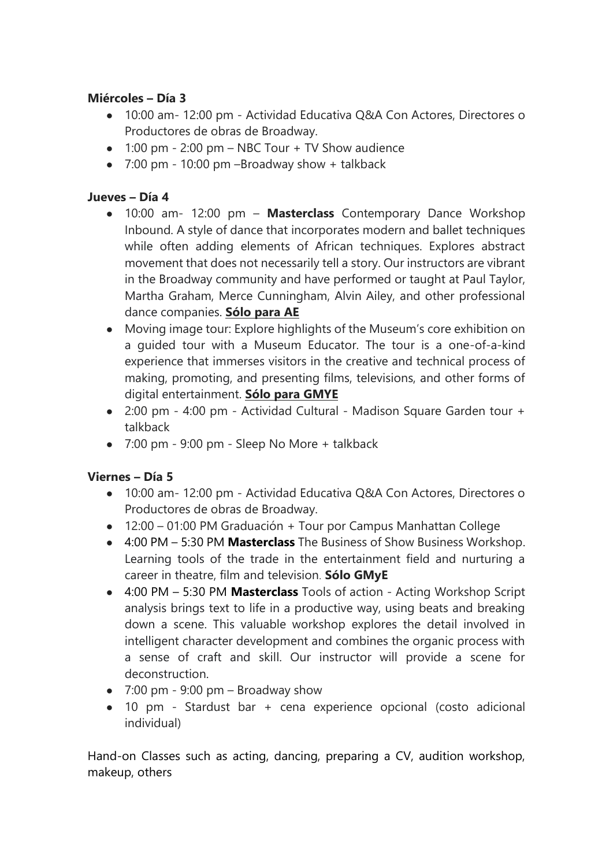# **Miércoles – Día 3**

- 10:00 am- 12:00 pm Actividad Educativa Q&A Con Actores, Directores o Productores de obras de Broadway.
- $\bullet$  1:00 pm 2:00 pm NBC Tour + TV Show audience
- $\bullet$  7:00 pm 10:00 pm -Broadway show + talkback

### **Jueves – Día 4**

- 10:00 am- 12:00 pm **Masterclass** Contemporary Dance Workshop Inbound. A style of dance that incorporates modern and ballet techniques while often adding elements of African techniques. Explores abstract movement that does not necessarily tell a story. Our instructors are vibrant in the Broadway community and have performed or taught at Paul Taylor, Martha Graham, Merce Cunningham, Alvin Ailey, and other professional dance companies. **Sólo para AE**
- Moving image tour: Explore highlights of the Museum's core exhibition on a guided tour with a Museum Educator. The tour is a one-of-a-kind experience that immerses visitors in the creative and technical process of making, promoting, and presenting films, televisions, and other forms of digital entertainment. **Sólo para GMYE**
- 2:00 pm 4:00 pm Actividad Cultural Madison Square Garden tour + talkback
- $\bullet$  7:00 pm 9:00 pm Sleep No More + talkback

#### **Viernes – Día 5**

- 10:00 am- 12:00 pm Actividad Educativa Q&A Con Actores, Directores o Productores de obras de Broadway.
- 12:00 01:00 PM Graduación + Tour por Campus Manhattan College
- 4:00 PM 5:30 PM **Masterclass** [The Business of Show Business Workshop.](https://www.broadwayinbound.com/workshops) Learning tools of the trade in the entertainment field and nurturing a career in theatre, film and television. **Sólo GMyE**
- 4:00 PM 5:30 PM **Masterclass** [Tools of action -](https://www.broadwayinbound.com/workshops) Acting Workshop Script analysis brings text to life in a productive way, using beats and breaking down a scene. This valuable workshop explores the detail involved in intelligent character development and combines the organic process with a sense of craft and skill. Our instructor will provide a scene for deconstruction.
- $\bullet$  7:00 pm 9:00 pm Broadway show
- 10 pm Stardust bar + cena experience opcional (costo adicional individual)

Hand-on Classes such as acting, dancing, preparing a CV, audition workshop, makeup, others